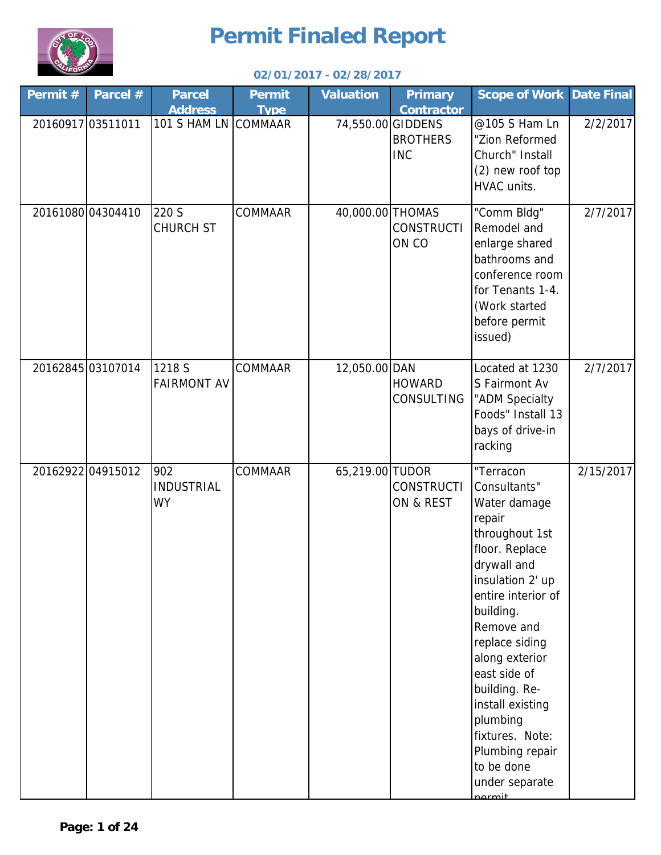

| Permit # | Parcel #          | <b>Parcel</b><br><b>Address</b>       | <b>Permit</b><br><b>Type</b> | <b>Valuation</b> | <b>Primary</b><br><b>Contractor</b>                | <b>Scope of Work Date Final</b>                                                                                                                                                                                                                                                                                                                                  |           |
|----------|-------------------|---------------------------------------|------------------------------|------------------|----------------------------------------------------|------------------------------------------------------------------------------------------------------------------------------------------------------------------------------------------------------------------------------------------------------------------------------------------------------------------------------------------------------------------|-----------|
|          | 20160917 03511011 | 101 S HAM LN COMMAAR                  |                              |                  | 74,550.00 GIDDENS<br><b>BROTHERS</b><br><b>INC</b> | @105 S Ham Ln<br>"Zion Reformed<br>Church" Install<br>(2) new roof top<br>HVAC units.                                                                                                                                                                                                                                                                            | 2/2/2017  |
|          | 20161080 04304410 | 220 S<br><b>CHURCH ST</b>             | COMMAAR                      | 40,000.00 THOMAS | <b>CONSTRUCTI</b><br>ON CO                         | "Comm Bldg"<br>Remodel and<br>enlarge shared<br>bathrooms and<br>conference room<br>for Tenants 1-4.<br>(Work started<br>before permit<br>issued)                                                                                                                                                                                                                | 2/7/2017  |
|          | 20162845 03107014 | 1218 S<br><b>FAIRMONT AV</b>          | COMMAAR                      | 12,050.00 DAN    | <b>HOWARD</b><br>CONSULTING                        | Located at 1230<br>S Fairmont Av<br>"ADM Specialty<br>Foods" Install 13<br>bays of drive-in<br>racking                                                                                                                                                                                                                                                           | 2/7/2017  |
|          | 20162922 04915012 | 902<br><b>INDUSTRIAL</b><br><b>WY</b> | COMMAAR                      | 65,219.00 TUDOR  | <b>CONSTRUCTI</b><br>ON & REST                     | "Terracon<br>Consultants"<br>Water damage<br>repair<br>throughout 1st<br>floor. Replace<br>drywall and<br>insulation 2' up<br>entire interior of<br>building.<br>Remove and<br>replace siding<br>along exterior<br>east side of<br>building. Re-<br>install existing<br>plumbing<br>fixtures. Note:<br>Plumbing repair<br>to be done<br>under separate<br>normit | 2/15/2017 |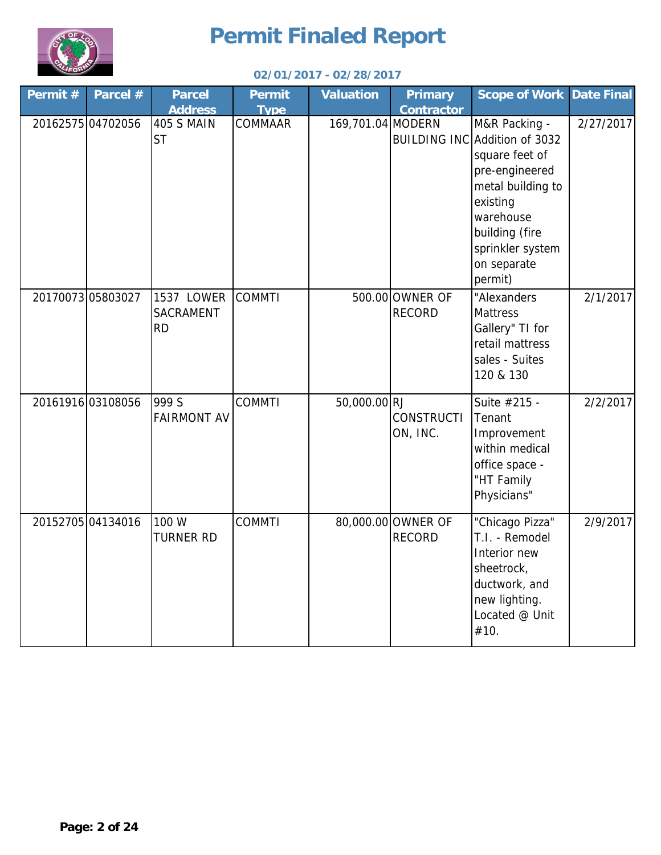



| Permit#           | Parcel # | <b>Parcel</b>                                    | <b>Permit</b>          | <b>Valuation</b>  | <b>Primary</b>                      | <b>Scope of Work</b>                                                                                                                                                                             | <b>Date Final</b> |
|-------------------|----------|--------------------------------------------------|------------------------|-------------------|-------------------------------------|--------------------------------------------------------------------------------------------------------------------------------------------------------------------------------------------------|-------------------|
| 20162575 04702056 |          | <b>Address</b><br><b>405 S MAIN</b><br><b>ST</b> | <b>Type</b><br>COMMAAR | 169,701.04 MODERN | <b>Contractor</b>                   | M&R Packing -<br>BUILDING INC Addition of 3032<br>square feet of<br>pre-engineered<br>metal building to<br>existing<br>warehouse<br>building (fire<br>sprinkler system<br>on separate<br>permit) | 2/27/2017         |
| 2017007305803027  |          | 1537 LOWER<br>SACRAMENT<br><b>RD</b>             | <b>COMMTI</b>          |                   | 500.00 OWNER OF<br><b>RECORD</b>    | "Alexanders<br><b>Mattress</b><br>Gallery" TI for<br>retail mattress<br>sales - Suites<br>120 & 130                                                                                              | 2/1/2017          |
| 20161916 03108056 |          | 999 S<br><b>FAIRMONT AV</b>                      | <b>COMMTI</b>          | 50,000.00 RJ      | <b>CONSTRUCTI</b><br>ON, INC.       | Suite #215 -<br>Tenant<br>Improvement<br>within medical<br>office space -<br>"HT Family<br>Physicians"                                                                                           | 2/2/2017          |
| 20152705 04134016 |          | 100 W<br><b>TURNER RD</b>                        | <b>COMMTI</b>          |                   | 80,000.00 OWNER OF<br><b>RECORD</b> | "Chicago Pizza"<br>T.I. - Remodel<br>Interior new<br>sheetrock,<br>ductwork, and<br>new lighting.<br>Located @ Unit<br>#10.                                                                      | 2/9/2017          |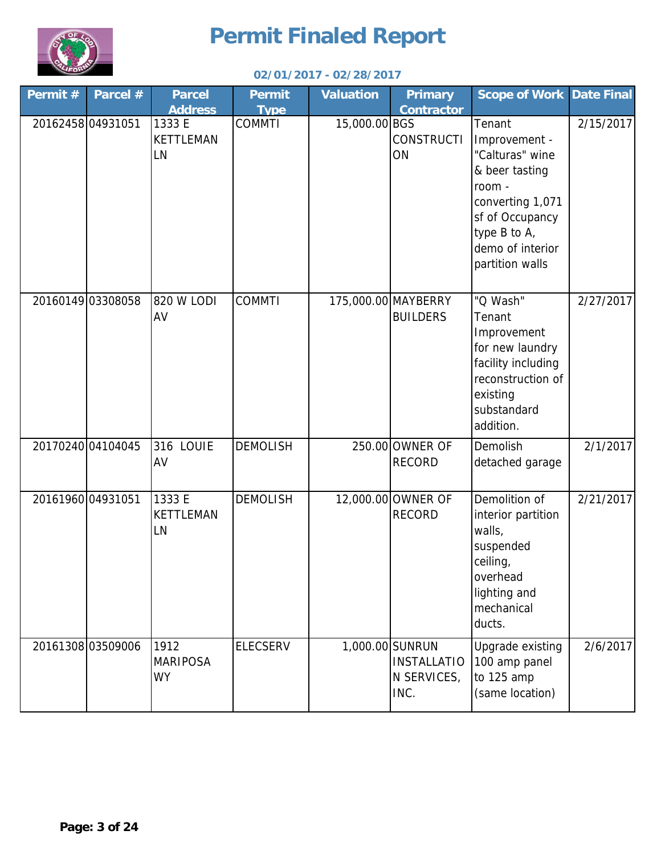

| Permit #          | Parcel #         | <b>Parcel</b>                        | <b>Permit</b>   | <b>Valuation</b> | <b>Primary</b>                            | <b>Scope of Work</b>                                                                                                                                                 | <b>Date Final</b> |
|-------------------|------------------|--------------------------------------|-----------------|------------------|-------------------------------------------|----------------------------------------------------------------------------------------------------------------------------------------------------------------------|-------------------|
|                   |                  | <b>Address</b>                       | <b>Type</b>     |                  | <b>Contractor</b>                         |                                                                                                                                                                      |                   |
| 20162458 04931051 |                  | 1333 E<br>KETTLEMAN<br>LN            | <b>COMMTI</b>   | 15,000.00 BGS    | <b>CONSTRUCTI</b><br>ON                   | Tenant<br>Improvement -<br>"Calturas" wine<br>& beer tasting<br>room -<br>converting 1,071<br>sf of Occupancy<br>type B to A,<br>demo of interior<br>partition walls | 2/15/2017         |
|                   | 2016014903308058 | 820 W LODI<br>AV                     | <b>COMMTI</b>   |                  | 175,000.00 MAYBERRY<br><b>BUILDERS</b>    | "Q Wash"<br>Tenant<br>Improvement<br>for new laundry<br>facility including<br>reconstruction of<br>existing<br>substandard<br>addition.                              | 2/27/2017         |
| 20170240 04104045 |                  | 316 LOUIE<br>AV                      | <b>DEMOLISH</b> |                  | 250.00 OWNER OF<br><b>RECORD</b>          | Demolish<br>detached garage                                                                                                                                          | 2/1/2017          |
| 20161960 04931051 |                  | 1333 E<br>KETTLEMAN<br>LN            | <b>DEMOLISH</b> |                  | 12,000.00 OWNER OF<br><b>RECORD</b>       | Demolition of<br>interior partition<br>walls,<br>suspended<br>ceiling,<br>overhead<br>lighting and<br>mechanical<br>ducts.                                           | 2/21/2017         |
| 20161308 03509006 |                  | 1912<br><b>MARIPOSA</b><br><b>WY</b> | <b>ELECSERV</b> | 1,000.00 SUNRUN  | <b>INSTALLATIO</b><br>N SERVICES,<br>INC. | Upgrade existing<br>100 amp panel<br>to 125 amp<br>(same location)                                                                                                   | 2/6/2017          |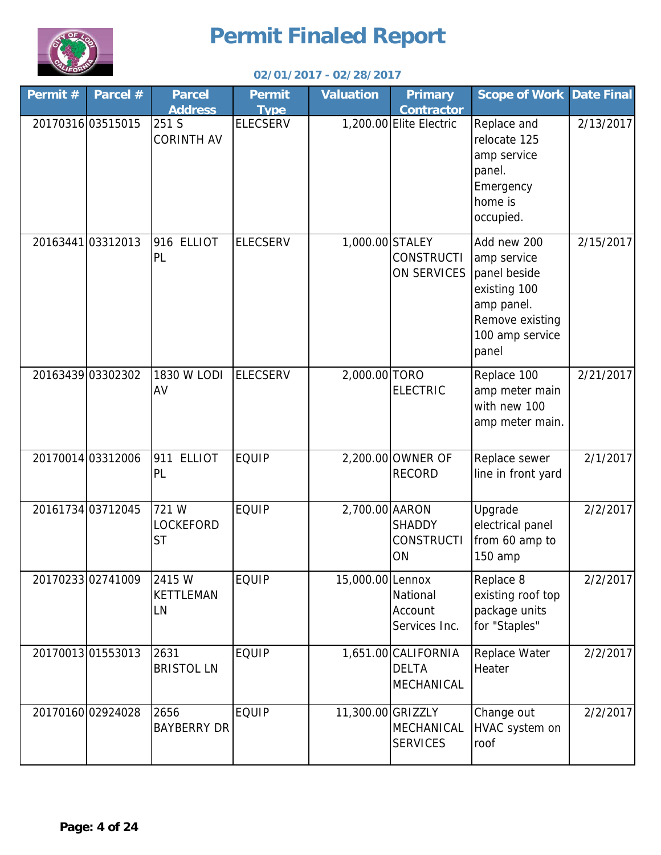

| Permit# | Parcel #          | <b>Parcel</b><br><b>Address</b>        | <b>Permit</b><br><b>Type</b> | <b>Valuation</b>  | <b>Primary</b><br><b>Contractor</b>               | <b>Scope of Work</b>                                                                                                    | Date Final |
|---------|-------------------|----------------------------------------|------------------------------|-------------------|---------------------------------------------------|-------------------------------------------------------------------------------------------------------------------------|------------|
|         | 20170316 03515015 | 251 S<br><b>CORINTH AV</b>             | <b>ELECSERV</b>              |                   | 1,200.00 Elite Electric                           | Replace and<br>relocate 125<br>amp service<br>panel.<br>Emergency<br>home is<br>occupied.                               | 2/13/2017  |
|         | 20163441 03312013 | 916 ELLIOT<br>PL                       | <b>ELECSERV</b>              | 1,000.00 STALEY   | <b>CONSTRUCTI</b><br>ON SERVICES                  | Add new 200<br>amp service<br>panel beside<br>existing 100<br>amp panel.<br>Remove existing<br>100 amp service<br>panel | 2/15/2017  |
|         | 20163439 03302302 | 1830 W LODI<br>AV                      | <b>ELECSERV</b>              | 2,000.00 TORO     | <b>ELECTRIC</b>                                   | Replace 100<br>amp meter main<br>with new 100<br>amp meter main.                                                        | 2/21/2017  |
|         | 20170014 03312006 | 911 ELLIOT<br>PL                       | <b>EQUIP</b>                 |                   | 2,200.00 OWNER OF<br><b>RECORD</b>                | Replace sewer<br>line in front yard                                                                                     | 2/1/2017   |
|         | 20161734 03712045 | 721 W<br><b>LOCKEFORD</b><br><b>ST</b> | <b>EQUIP</b>                 | 2,700.00 AARON    | <b>SHADDY</b><br><b>CONSTRUCTI</b><br>ON          | Upgrade<br>electrical panel<br>from 60 amp to<br>150 amp                                                                | 2/2/2017   |
|         | 20170233 02741009 | 2415 W<br><b>KETTLEMAN</b><br>LN       | <b>EQUIP</b>                 | 15,000.00 Lennox  | National<br>Account<br>Services Inc.              | Replace 8<br>existing roof top<br>package units<br>for "Staples"                                                        | 2/2/2017   |
|         | 20170013 01553013 | 2631<br><b>BRISTOL LN</b>              | <b>EQUIP</b>                 |                   | 1,651.00 CALIFORNIA<br><b>DELTA</b><br>MECHANICAL | Replace Water<br>Heater                                                                                                 | 2/2/2017   |
|         | 20170160 02924028 | 2656<br><b>BAYBERRY DR</b>             | <b>EQUIP</b>                 | 11,300.00 GRIZZLY | MECHANICAL<br><b>SERVICES</b>                     | Change out<br>HVAC system on<br>roof                                                                                    | 2/2/2017   |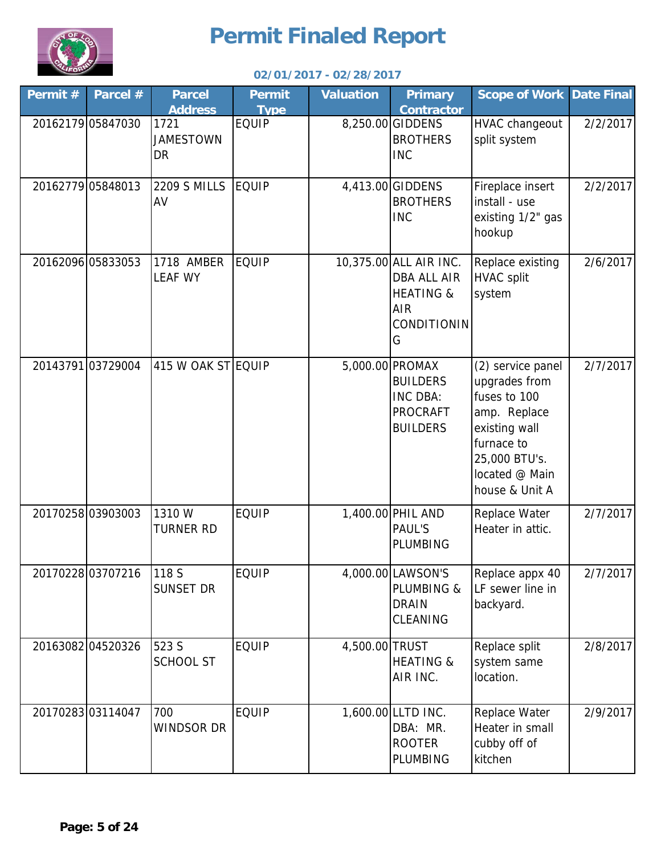

| Permit # | Parcel #          | <b>Parcel</b><br><b>Address</b> | <b>Permit</b><br><b>Type</b> | <b>Valuation</b> | <b>Primary</b><br><b>Contractor</b>                                                                    | <b>Scope of Work Date Final</b>                                                                                                                        |          |
|----------|-------------------|---------------------------------|------------------------------|------------------|--------------------------------------------------------------------------------------------------------|--------------------------------------------------------------------------------------------------------------------------------------------------------|----------|
|          | 20162179 05847030 | 1721<br><b>JAMESTOWN</b><br>DR  | <b>EQUIP</b>                 |                  | 8,250.00 GIDDENS<br><b>BROTHERS</b><br><b>INC</b>                                                      | HVAC changeout<br>split system                                                                                                                         | 2/2/2017 |
|          | 20162779 05848013 | <b>2209 S MILLS</b><br>AV       | <b>EQUIP</b>                 |                  | 4,413.00 GIDDENS<br><b>BROTHERS</b><br><b>INC</b>                                                      | Fireplace insert<br>install - use<br>existing 1/2" gas<br>hookup                                                                                       | 2/2/2017 |
|          | 20162096 05833053 | 1718 AMBER<br><b>LEAF WY</b>    | <b>EQUIP</b>                 |                  | 10,375.00 ALL AIR INC.<br><b>DBA ALL AIR</b><br><b>HEATING &amp;</b><br><b>AIR</b><br>CONDITIONIN<br>G | Replace existing<br><b>HVAC</b> split<br>system                                                                                                        | 2/6/2017 |
|          | 20143791 03729004 | 415 W OAK ST EQUIP              |                              |                  | 5,000.00 PROMAX<br><b>BUILDERS</b><br>INC DBA:<br><b>PROCRAFT</b><br><b>BUILDERS</b>                   | (2) service panel<br>upgrades from<br>fuses to 100<br>amp. Replace<br>existing wall<br>furnace to<br>25,000 BTU's.<br>located @ Main<br>house & Unit A | 2/7/2017 |
|          | 2017025803903003  | 1310W<br><b>TURNER RD</b>       | <b>EQUIP</b>                 |                  | 1,400.00 PHIL AND<br>PAUL'S<br><b>PLUMBING</b>                                                         | Replace Water<br>Heater in attic.                                                                                                                      | 2/7/2017 |
|          | 20170228 03707216 | 118 S<br><b>SUNSET DR</b>       | <b>EQUIP</b>                 |                  | 4,000.00 LAWSON'S<br>PLUMBING &<br><b>DRAIN</b><br>CLEANING                                            | Replace appx 40<br>LF sewer line in<br>backyard.                                                                                                       | 2/7/2017 |
|          | 20163082 04520326 | 523 S<br><b>SCHOOL ST</b>       | <b>EQUIP</b>                 | 4,500.00 TRUST   | <b>HEATING &amp;</b><br>AIR INC.                                                                       | Replace split<br>system same<br>location.                                                                                                              | 2/8/2017 |
|          | 2017028303114047  | 700<br><b>WINDSOR DR</b>        | <b>EQUIP</b>                 |                  | 1,600.00 LLTD INC.<br>DBA: MR.<br><b>ROOTER</b><br>PLUMBING                                            | Replace Water<br>Heater in small<br>cubby off of<br>kitchen                                                                                            | 2/9/2017 |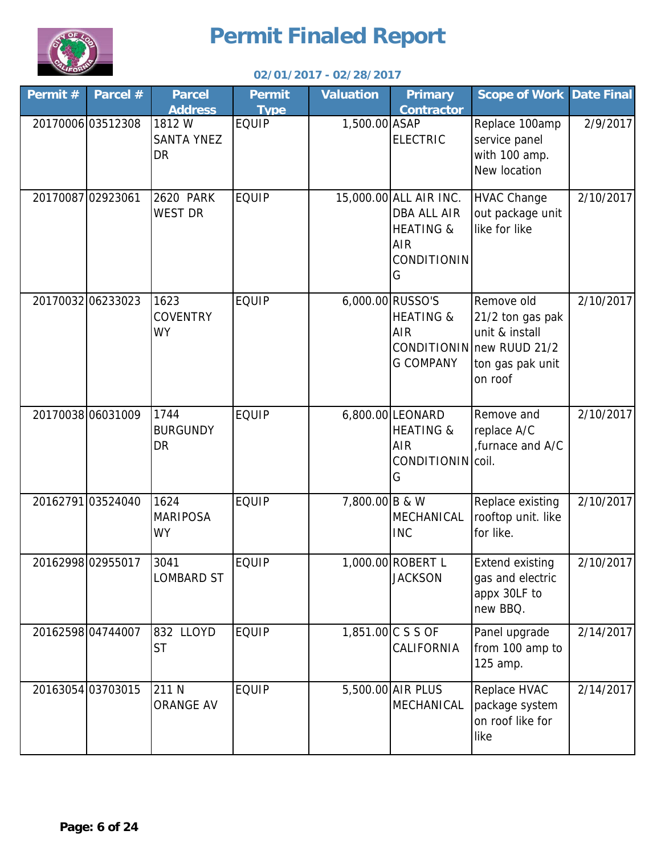

| Permit # | Parcel #          | <b>Parcel</b><br><b>Address</b>         | <b>Permit</b><br><b>Type</b> | <b>Valuation</b> | <b>Primary</b><br><b>Contractor</b>                                                                    | <b>Scope of Work</b>                                                                                         | <b>Date Final</b> |
|----------|-------------------|-----------------------------------------|------------------------------|------------------|--------------------------------------------------------------------------------------------------------|--------------------------------------------------------------------------------------------------------------|-------------------|
|          | 20170006 03512308 | 1812W<br><b>SANTA YNEZ</b><br><b>DR</b> | <b>EQUIP</b>                 | 1,500.00 ASAP    | <b>ELECTRIC</b>                                                                                        | Replace 100amp<br>service panel<br>with 100 amp.<br>New location                                             | 2/9/2017          |
|          | 20170087 02923061 | <b>2620 PARK</b><br><b>WEST DR</b>      | <b>EQUIP</b>                 |                  | 15,000.00 ALL AIR INC.<br><b>DBA ALL AIR</b><br><b>HEATING &amp;</b><br><b>AIR</b><br>CONDITIONIN<br>G | <b>HVAC Change</b><br>out package unit<br>like for like                                                      | 2/10/2017         |
|          | 20170032 06233023 | 1623<br><b>COVENTRY</b><br><b>WY</b>    | <b>EQUIP</b>                 |                  | 6,000.00 RUSSO'S<br><b>HEATING &amp;</b><br><b>AIR</b><br><b>G COMPANY</b>                             | Remove old<br>21/2 ton gas pak<br>unit & install<br>CONDITIONIN new RUUD 21/2<br>ton gas pak unit<br>on roof | 2/10/2017         |
|          | 20170038 06031009 | 1744<br><b>BURGUNDY</b><br><b>DR</b>    | <b>EQUIP</b>                 |                  | 6,800.00 LEONARD<br><b>HEATING &amp;</b><br><b>AIR</b><br>CONDITIONIN coil.<br>G                       | Remove and<br>replace A/C<br>furnace and A/C                                                                 | 2/10/2017         |
|          | 20162791 03524040 | 1624<br><b>MARIPOSA</b><br><b>WY</b>    | <b>EQUIP</b>                 | 7,800.00 B & W   | MECHANICAL<br><b>INC</b>                                                                               | Replace existing<br>rooftop unit. like<br>for like.                                                          | 2/10/2017         |
|          | 20162998 02955017 | 3041<br><b>LOMBARD ST</b>               | <b>EQUIP</b>                 |                  | 1,000.00 ROBERT L<br><b>JACKSON</b>                                                                    | <b>Extend existing</b><br>gas and electric<br>appx 30LF to<br>new BBQ.                                       | 2/10/2017         |
|          | 2016259804744007  | 832 LLOYD<br><b>ST</b>                  | <b>EQUIP</b>                 |                  | 1,851.00 C S S OF<br>CALIFORNIA                                                                        | Panel upgrade<br>from 100 amp to<br>125 amp.                                                                 | 2/14/2017         |
|          | 20163054 03703015 | 211 N<br><b>ORANGE AV</b>               | <b>EQUIP</b>                 |                  | 5,500.00 AIR PLUS<br>MECHANICAL                                                                        | Replace HVAC<br>package system<br>on roof like for<br>like                                                   | 2/14/2017         |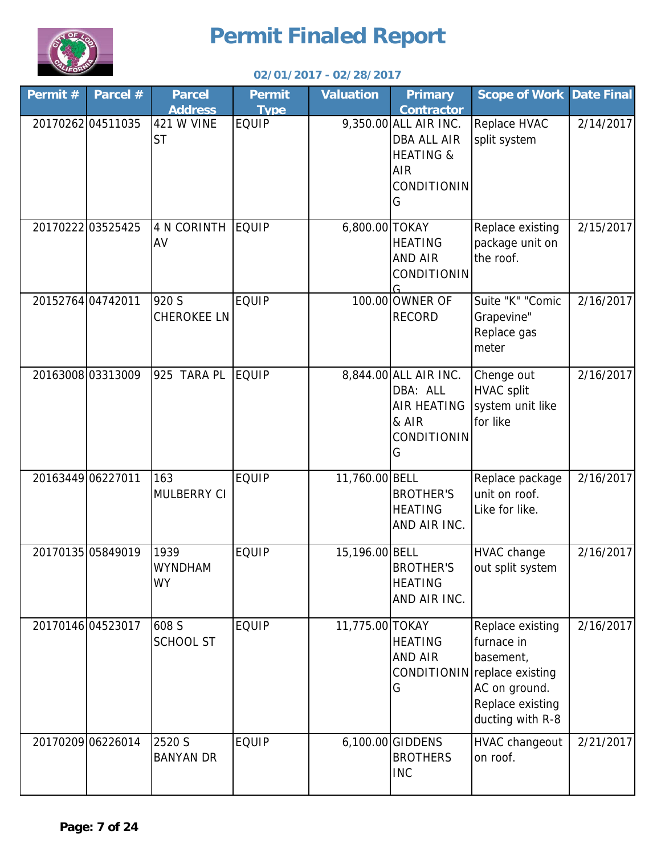

| Permit $#$ | Parcel #          | <b>Parcel</b><br><b>Address</b>     | <b>Permit</b><br><b>Type</b> | <b>Valuation</b> | <b>Primary</b><br><b>Contractor</b>                                                                   | <b>Scope of Work Date Final</b>                                                                                                      |           |
|------------|-------------------|-------------------------------------|------------------------------|------------------|-------------------------------------------------------------------------------------------------------|--------------------------------------------------------------------------------------------------------------------------------------|-----------|
|            | 20170262 04511035 | <b>421 W VINE</b><br><b>ST</b>      | <b>EQUIP</b>                 |                  | 9,350.00 ALL AIR INC.<br><b>DBA ALL AIR</b><br><b>HEATING &amp;</b><br><b>AIR</b><br>CONDITIONIN<br>G | Replace HVAC<br>split system                                                                                                         | 2/14/2017 |
|            | 2017022203525425  | <b>4 N CORINTH</b><br>AV            | <b>EQUIP</b>                 | 6,800.00 TOKAY   | <b>HEATING</b><br><b>AND AIR</b><br>CONDITIONIN                                                       | Replace existing<br>package unit on<br>the roof.                                                                                     | 2/15/2017 |
|            | 20152764 04742011 | 920 S<br><b>CHEROKEE LN</b>         | <b>EQUIP</b>                 |                  | 100.00 OWNER OF<br><b>RECORD</b>                                                                      | Suite "K" "Comic<br>Grapevine"<br>Replace gas<br>meter                                                                               | 2/16/2017 |
|            | 20163008 03313009 | 925 TARA PL                         | <b>EQUIP</b>                 |                  | 8,844.00 ALL AIR INC.<br>DBA: ALL<br><b>AIR HEATING</b><br>& AIR<br>CONDITIONIN<br>G                  | Chenge out<br><b>HVAC split</b><br>system unit like<br>for like                                                                      | 2/16/2017 |
|            | 20163449 06227011 | 163<br>MULBERRY CI                  | <b>EQUIP</b>                 | 11,760.00 BELL   | <b>BROTHER'S</b><br><b>HEATING</b><br>AND AIR INC.                                                    | Replace package<br>unit on roof.<br>Like for like.                                                                                   | 2/16/2017 |
|            | 20170135 05849019 | 1939<br><b>WYNDHAM</b><br><b>WY</b> | <b>EQUIP</b>                 | 15,196.00 BELL   | <b>BROTHER'S</b><br><b>HEATING</b><br>AND AIR INC.                                                    | <b>HVAC</b> change<br>out split system                                                                                               | 2/16/2017 |
|            | 20170146 04523017 | 608 S<br><b>SCHOOL ST</b>           | <b>EQUIP</b>                 | 11,775.00 TOKAY  | <b>HEATING</b><br><b>AND AIR</b><br>G                                                                 | Replace existing<br>furnace in<br>basement,<br>CONDITIONIN replace existing<br>AC on ground.<br>Replace existing<br>ducting with R-8 | 2/16/2017 |
|            | 20170209 06226014 | 2520 S<br><b>BANYAN DR</b>          | <b>EQUIP</b>                 |                  | 6,100.00 GIDDENS<br><b>BROTHERS</b><br><b>INC</b>                                                     | HVAC changeout<br>on roof.                                                                                                           | 2/21/2017 |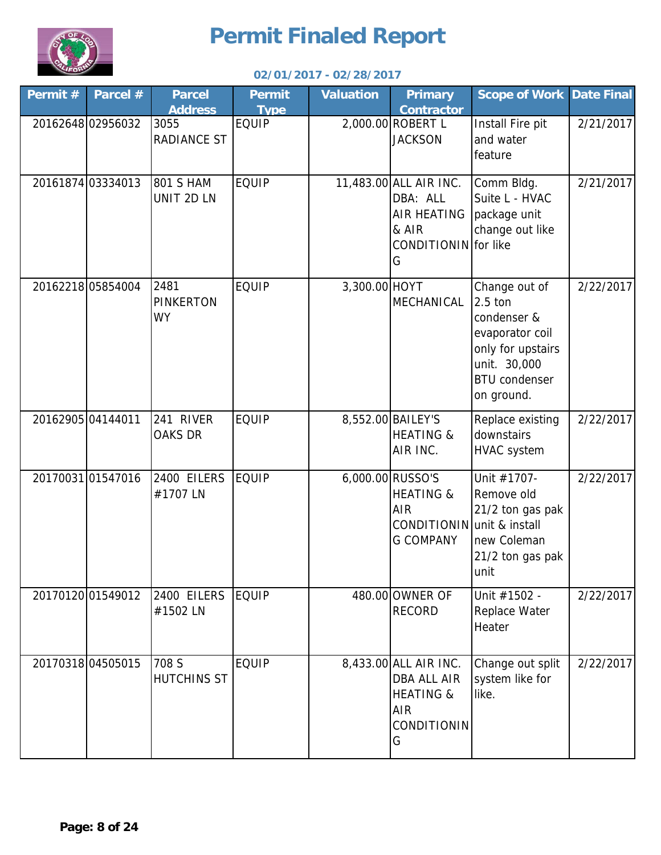

| Permit # | Parcel #          | <b>Parcel</b><br><b>Address</b>       | <b>Permit</b><br><b>Type</b> | <b>Valuation</b> | <b>Primary</b><br><b>Contractor</b>                                                                          | <b>Scope of Work Date Final</b>                                                                                                       |           |
|----------|-------------------|---------------------------------------|------------------------------|------------------|--------------------------------------------------------------------------------------------------------------|---------------------------------------------------------------------------------------------------------------------------------------|-----------|
|          | 2016264802956032  | 3055<br><b>RADIANCE ST</b>            | <b>EQUIP</b>                 |                  | 2,000.00 ROBERT L<br><b>JACKSON</b>                                                                          | Install Fire pit<br>and water<br>feature                                                                                              | 2/21/2017 |
|          | 20161874 03334013 | <b>801 S HAM</b><br>UNIT 2D LN        | <b>EQUIP</b>                 |                  | 11,483.00 ALL AIR INC.<br>DBA: ALL<br><b>AIR HEATING</b><br>& AIR<br>CONDITIONIN for like<br>G               | Comm Bldg.<br>Suite L - HVAC<br>package unit<br>change out like                                                                       | 2/21/2017 |
|          | 20162218 05854004 | 2481<br><b>PINKERTON</b><br><b>WY</b> | <b>EQUIP</b>                 | 3,300.00 HOYT    | MECHANICAL                                                                                                   | Change out of<br>2.5 ton<br>condenser &<br>evaporator coil<br>only for upstairs<br>unit. 30,000<br><b>BTU</b> condenser<br>on ground. | 2/22/2017 |
|          | 2016290504144011  | 241 RIVER<br>OAKS DR                  | <b>EQUIP</b>                 |                  | 8,552.00 BAILEY'S<br><b>HEATING &amp;</b><br>AIR INC.                                                        | Replace existing<br>downstairs<br><b>HVAC</b> system                                                                                  | 2/22/2017 |
|          | 20170031 01547016 | 2400 EILERS<br>#1707 LN               | EQUIP                        |                  | 6,000.00 RUSSO'S<br><b>HEATING &amp;</b><br><b>AIR</b><br>CONDITIONIN unit & install<br><b>G COMPANY</b>     | Unit #1707-<br>Remove old<br>21/2 ton gas pak<br>new Coleman<br>21/2 ton gas pak<br>unit                                              | 2/22/2017 |
|          | 20170120 01549012 | 2400 EILERS<br>#1502 LN               | <b>EQUIP</b>                 |                  | 480.00 OWNER OF<br><b>RECORD</b>                                                                             | Unit #1502 -<br>Replace Water<br>Heater                                                                                               | 2/22/2017 |
|          | 20170318 04505015 | 708 S<br><b>HUTCHINS ST</b>           | <b>EQUIP</b>                 |                  | 8,433.00 ALL AIR INC.<br><b>DBA ALL AIR</b><br><b>HEATING &amp;</b><br><b>AIR</b><br><b>CONDITIONIN</b><br>G | Change out split<br>system like for<br>like.                                                                                          | 2/22/2017 |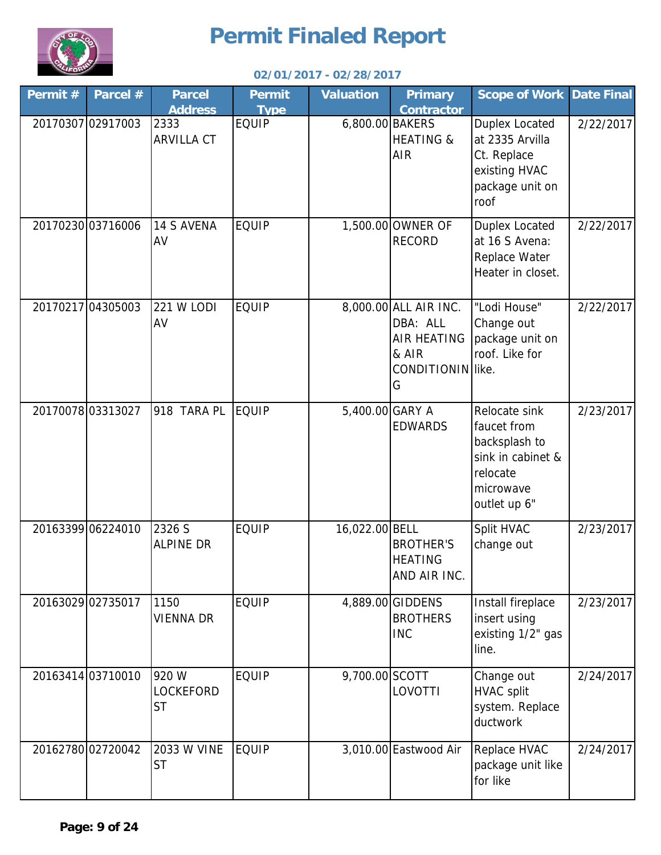

| Permit# | Parcel #          | <b>Parcel</b><br><b>Address</b>        | <b>Permit</b><br><b>Type</b> | <b>Valuation</b> | <b>Primary</b><br><b>Contractor</b>                                                        | <b>Scope of Work</b>                                                                                        | <b>Date Final</b> |
|---------|-------------------|----------------------------------------|------------------------------|------------------|--------------------------------------------------------------------------------------------|-------------------------------------------------------------------------------------------------------------|-------------------|
|         | 20170307 02917003 | 2333<br><b>ARVILLA CT</b>              | <b>EQUIP</b>                 | 6,800.00 BAKERS  | <b>HEATING &amp;</b><br><b>AIR</b>                                                         | <b>Duplex Located</b><br>at 2335 Arvilla<br>Ct. Replace<br>existing HVAC<br>package unit on<br>roof         | 2/22/2017         |
|         | 20170230 03716006 | <b>14 S AVENA</b><br>AV                | <b>EQUIP</b>                 |                  | 1,500.00 OWNER OF<br><b>RECORD</b>                                                         | <b>Duplex Located</b><br>at 16 S Avena:<br>Replace Water<br>Heater in closet.                               | 2/22/2017         |
|         | 20170217 04305003 | <b>221 W LODI</b><br>AV                | <b>EQUIP</b>                 |                  | 8,000.00 ALL AIR INC.<br>DBA: ALL<br><b>AIR HEATING</b><br>& AIR<br>CONDITIONIN like.<br>G | "Lodi House"<br>Change out<br>package unit on<br>roof. Like for                                             | 2/22/2017         |
|         | 2017007803313027  | 918 TARA PL                            | <b>EQUIP</b>                 | 5,400.00 GARY A  | <b>EDWARDS</b>                                                                             | Relocate sink<br>faucet from<br>backsplash to<br>sink in cabinet &<br>relocate<br>microwave<br>outlet up 6" | 2/23/2017         |
|         | 20163399 06224010 | 2326 S<br><b>ALPINE DR</b>             | <b>EQUIP</b>                 | 16,022.00 BELL   | <b>BROTHER'S</b><br><b>HEATING</b><br>AND AIR INC.                                         | Split HVAC<br>change out                                                                                    | 2/23/2017         |
|         | 20163029 02735017 | 1150<br><b>VIENNA DR</b>               | <b>EQUIP</b>                 |                  | 4,889.00 GIDDENS<br><b>BROTHERS</b><br><b>INC</b>                                          | Install fireplace<br>insert using<br>existing 1/2" gas<br>line.                                             | 2/23/2017         |
|         | 20163414 03710010 | 920 W<br><b>LOCKEFORD</b><br><b>ST</b> | <b>EQUIP</b>                 | 9,700.00 SCOTT   | LOVOTTI                                                                                    | Change out<br><b>HVAC split</b><br>system. Replace<br>ductwork                                              | 2/24/2017         |
|         | 20162780 02720042 | 2033 W VINE<br><b>ST</b>               | <b>EQUIP</b>                 |                  | 3,010.00 Eastwood Air                                                                      | Replace HVAC<br>package unit like<br>for like                                                               | 2/24/2017         |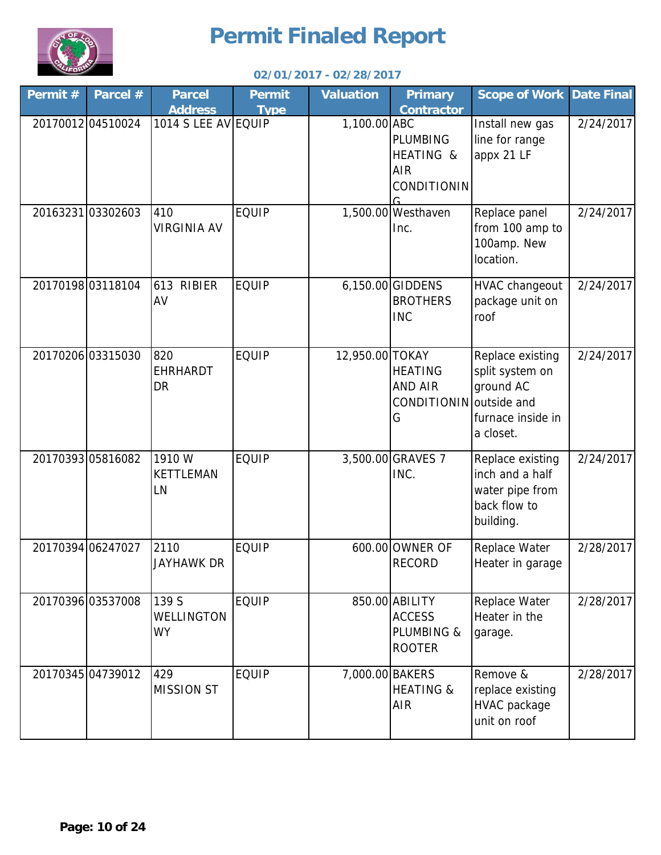

| Permit # | Parcel #          | <b>Parcel</b><br><b>Address</b>     | <b>Permit</b><br><b>Type</b> | <b>Valuation</b> | <b>Primary</b><br><b>Contractor</b>                              | <b>Scope of Work</b>                                                                | <b>Date Final</b> |
|----------|-------------------|-------------------------------------|------------------------------|------------------|------------------------------------------------------------------|-------------------------------------------------------------------------------------|-------------------|
|          | 20170012 04510024 | 1014 S LEE AV EQUIP                 |                              | 1,100.00 ABC     | <b>PLUMBING</b><br>HEATING &<br><b>AIR</b><br><b>CONDITIONIN</b> | Install new gas<br>line for range<br>appx 21 LF                                     | 2/24/2017         |
|          | 20163231 03302603 | 410<br><b>VIRGINIA AV</b>           | <b>EQUIP</b>                 |                  | 1,500.00 Westhaven<br>Inc.                                       | Replace panel<br>from 100 amp to<br>100amp. New<br>location.                        | 2/24/2017         |
|          | 20170198 03118104 | 613 RIBIER<br>AV                    | <b>EQUIP</b>                 |                  | 6,150.00 GIDDENS<br><b>BROTHERS</b><br><b>INC</b>                | <b>HVAC changeout</b><br>package unit on<br>roof                                    | 2/24/2017         |
|          | 20170206 03315030 | 820<br><b>EHRHARDT</b><br><b>DR</b> | <b>EQUIP</b>                 | 12,950.00 TOKAY  | <b>HEATING</b><br><b>AND AIR</b><br>CONDITIONIN outside and<br>G | Replace existing<br>split system on<br>ground AC<br>furnace inside in<br>a closet.  | 2/24/2017         |
|          | 20170393 05816082 | 1910 W<br><b>KETTLEMAN</b><br>LN    | <b>EQUIP</b>                 |                  | 3,500.00 GRAVES 7<br>INC.                                        | Replace existing<br>inch and a half<br>water pipe from<br>back flow to<br>building. | 2/24/2017         |
|          | 20170394 06247027 | 2110<br>Jayhawk Dr                  | <b>EQUIP</b>                 |                  | 600.00 OWNER OF<br><b>RECORD</b>                                 | Replace Water<br>Heater in garage                                                   | 2/28/2017         |
|          | 20170396 03537008 | 139 S<br>WELLINGTON<br><b>WY</b>    | <b>EQUIP</b>                 |                  | 850.00 ABILITY<br><b>ACCESS</b><br>PLUMBING &<br><b>ROOTER</b>   | Replace Water<br>Heater in the<br>garage.                                           | 2/28/2017         |
|          | 20170345 04739012 | 429<br><b>MISSION ST</b>            | <b>EQUIP</b>                 | 7,000.00 BAKERS  | <b>HEATING &amp;</b><br><b>AIR</b>                               | Remove &<br>replace existing<br><b>HVAC</b> package<br>unit on roof                 | 2/28/2017         |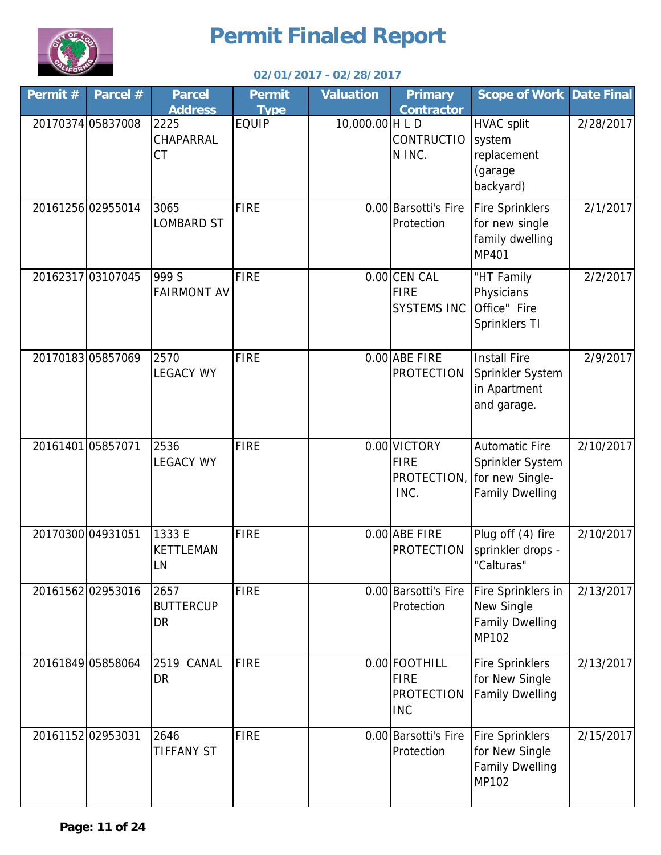

| Permit # | Parcel #          | <b>Parcel</b><br><b>Address</b> | <b>Permit</b><br><b>Type</b> | <b>Valuation</b> | <b>Primary</b><br><b>Contractor</b>                             | <b>Scope of Work Date Final</b>                                                                    |           |
|----------|-------------------|---------------------------------|------------------------------|------------------|-----------------------------------------------------------------|----------------------------------------------------------------------------------------------------|-----------|
|          | 20170374 05837008 | 2225<br>CHAPARRAL<br><b>CT</b>  | <b>EQUIP</b>                 | 10,000.00 H L D  | <b>CONTRUCTIO</b><br>N INC.                                     | <b>HVAC split</b><br>system<br>replacement<br>(garage<br>backyard)                                 | 2/28/2017 |
|          | 20161256 02955014 | 3065<br><b>LOMBARD ST</b>       | <b>FIRE</b>                  |                  | 0.00 Barsotti's Fire<br>Protection                              | <b>Fire Sprinklers</b><br>for new single<br>family dwelling<br><b>MP401</b>                        | 2/1/2017  |
|          | 20162317 03107045 | 999 S<br><b>FAIRMONT AV</b>     | <b>FIRE</b>                  |                  | 0.00 CEN CAL<br><b>FIRE</b><br><b>SYSTEMS INC</b>               | "HT Family<br>Physicians<br>Office" Fire<br>Sprinklers TI                                          | 2/2/2017  |
|          | 2017018305857069  | 2570<br><b>LEGACY WY</b>        | <b>FIRE</b>                  |                  | 0.00 ABE FIRE<br><b>PROTECTION</b>                              | <b>Install Fire</b><br>Sprinkler System<br>in Apartment<br>and garage.                             | 2/9/2017  |
|          | 2016140105857071  | 2536<br><b>LEGACY WY</b>        | <b>FIRE</b>                  |                  | 0.00 VICTORY<br><b>FIRE</b><br>INC.                             | <b>Automatic Fire</b><br>Sprinkler System<br>PROTECTION, for new Single-<br><b>Family Dwelling</b> | 2/10/2017 |
|          | 20170300 04931051 | 1333 E<br>KETTLEMAN<br>LN       | <b>FIRE</b>                  |                  | 0.00 ABE FIRE<br><b>PROTECTION</b>                              | Plug off (4) fire<br>sprinkler drops -<br>"Calturas"                                               | 2/10/2017 |
|          | 20161562 02953016 | 2657<br><b>BUTTERCUP</b><br>DR  | <b>FIRE</b>                  |                  | 0.00 Barsotti's Fire<br>Protection                              | Fire Sprinklers in<br>New Single<br><b>Family Dwelling</b><br>MP102                                | 2/13/2017 |
|          | 20161849 05858064 | 2519 CANAL<br><b>DR</b>         | <b>FIRE</b>                  |                  | 0.00 FOOTHILL<br><b>FIRE</b><br><b>PROTECTION</b><br><b>INC</b> | <b>Fire Sprinklers</b><br>for New Single<br><b>Family Dwelling</b>                                 | 2/13/2017 |
|          | 20161152 02953031 | 2646<br><b>TIFFANY ST</b>       | <b>FIRE</b>                  |                  | 0.00 Barsotti's Fire<br>Protection                              | <b>Fire Sprinklers</b><br>for New Single<br><b>Family Dwelling</b><br>MP102                        | 2/15/2017 |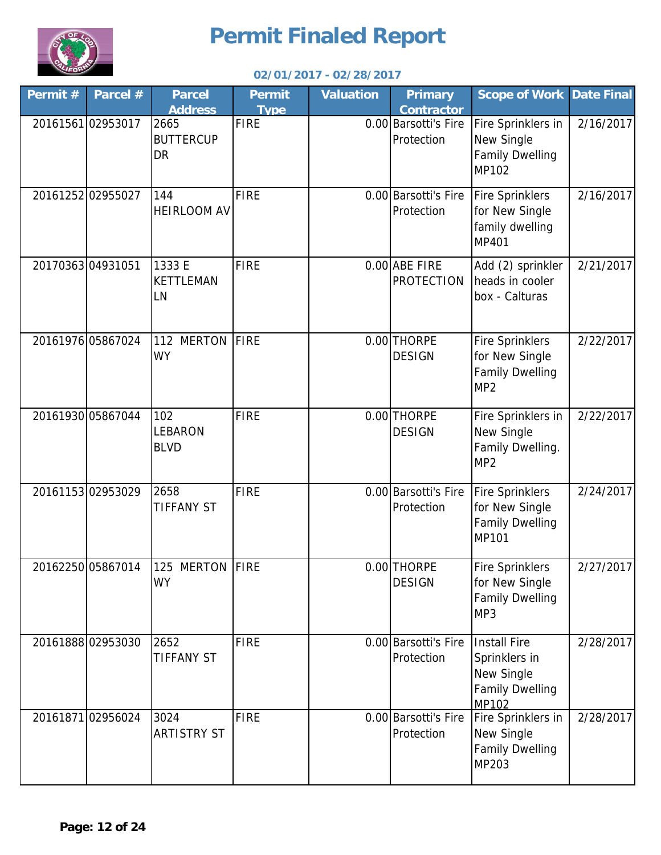

| Permit # | Parcel #          | <b>Parcel</b><br><b>Address</b>       | <b>Permit</b><br><b>Type</b> | <b>Valuation</b> | <b>Primary</b><br><b>Contractor</b> | <b>Scope of Work Date Final</b>                                                              |           |
|----------|-------------------|---------------------------------------|------------------------------|------------------|-------------------------------------|----------------------------------------------------------------------------------------------|-----------|
|          | 2016156102953017  | 2665<br><b>BUTTERCUP</b><br><b>DR</b> | <b>FIRE</b>                  |                  | 0.00 Barsotti's Fire<br>Protection  | Fire Sprinklers in<br>New Single<br><b>Family Dwelling</b><br>MP102                          | 2/16/2017 |
|          | 20161252 02955027 | 144<br>HEIRLOOM AV                    | <b>FIRE</b>                  |                  | 0.00 Barsotti's Fire<br>Protection  | <b>Fire Sprinklers</b><br>for New Single<br>family dwelling<br><b>MP401</b>                  | 2/16/2017 |
|          | 2017036304931051  | 1333 E<br><b>KETTLEMAN</b><br>LN      | <b>FIRE</b>                  |                  | 0.00 ABE FIRE<br><b>PROTECTION</b>  | Add (2) sprinkler<br>heads in cooler<br>box - Calturas                                       | 2/21/2017 |
|          | 20161976 05867024 | 112 MERTON<br><b>WY</b>               | <b>FIRE</b>                  |                  | 0.00 THORPE<br><b>DESIGN</b>        | <b>Fire Sprinklers</b><br>for New Single<br><b>Family Dwelling</b><br>MP <sub>2</sub>        | 2/22/2017 |
|          | 20161930 05867044 | 102<br>LEBARON<br><b>BLVD</b>         | <b>FIRE</b>                  |                  | 0.00 THORPE<br><b>DESIGN</b>        | Fire Sprinklers in<br>New Single<br>Family Dwelling.<br>MP <sub>2</sub>                      | 2/22/2017 |
|          | 2016115302953029  | 2658<br><b>TIFFANY ST</b>             | <b>FIRE</b>                  |                  | 0.00 Barsotti's Fire<br>Protection  | <b>Fire Sprinklers</b><br>for New Single<br><b>Family Dwelling</b><br>MP101                  | 2/24/2017 |
|          | 20162250 05867014 | 125 MERTON FIRE<br><b>WY</b>          |                              |                  | 0.00 THORPE<br><b>DESIGN</b>        | <b>Fire Sprinklers</b><br>for New Single<br><b>Family Dwelling</b><br>MP3                    | 2/27/2017 |
|          | 2016188802953030  | 2652<br><b>TIFFANY ST</b>             | <b>FIRE</b>                  |                  | 0.00 Barsotti's Fire<br>Protection  | <b>Install Fire</b><br>Sprinklers in<br><b>New Single</b><br><b>Family Dwelling</b><br>MP102 | 2/28/2017 |
|          | 20161871 02956024 | 3024<br><b>ARTISTRY ST</b>            | <b>FIRE</b>                  |                  | 0.00 Barsotti's Fire<br>Protection  | Fire Sprinklers in<br>New Single<br><b>Family Dwelling</b><br>MP203                          | 2/28/2017 |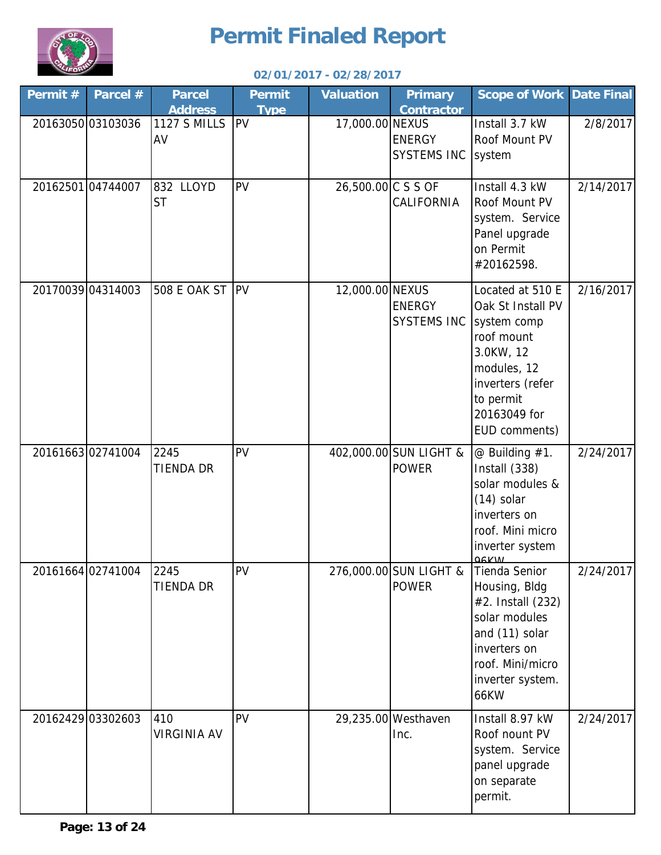

| Permit# | Parcel #          | <b>Parcel</b><br><b>Address</b> | <b>Permit</b><br><b>Type</b> | <b>Valuation</b>   | <b>Primary</b><br><b>Contractor</b>        | <b>Scope of Work Date Final</b>                                                                                                                               |           |
|---------|-------------------|---------------------------------|------------------------------|--------------------|--------------------------------------------|---------------------------------------------------------------------------------------------------------------------------------------------------------------|-----------|
|         | 20163050 03103036 | <b>1127 S MILLS</b><br>AV       | <b>IPV</b>                   | 17,000.00 NEXUS    | <b>ENERGY</b><br><b>SYSTEMS INC</b>        | Install 3.7 kW<br>Roof Mount PV<br>system                                                                                                                     | 2/8/2017  |
|         | 2016250104744007  | 832 LLOYD<br><b>ST</b>          | PV                           | 26,500.00 C S S OF | <b>CALIFORNIA</b>                          | Install 4.3 kW<br>Roof Mount PV<br>system. Service<br>Panel upgrade<br>on Permit<br>#20162598.                                                                | 2/14/2017 |
|         | 20170039 04314003 | 508 E OAK ST PV                 |                              | 12,000.00 NEXUS    | <b>ENERGY</b><br>SYSTEMS INC   system comp | Located at 510 E<br>Oak St Install PV<br>roof mount<br>3.0KW, 12<br>modules, 12<br>inverters (refer<br>to permit<br>20163049 for<br>EUD comments)             | 2/16/2017 |
|         | 2016166302741004  | 2245<br><b>TIENDA DR</b>        | PV                           |                    | 402,000.00 SUN LIGHT &<br><b>POWER</b>     | $@$ Building $#1$ .<br>Install (338)<br>solar modules &<br>$(14)$ solar<br>inverters on<br>roof. Mini micro<br>inverter system<br><b>Q6KW</b>                 | 2/24/2017 |
|         | 20161664 02741004 | 2245<br><b>TIENDA DR</b>        | PV                           |                    | 276,000.00 SUN LIGHT &<br><b>POWER</b>     | Tienda Senior<br>Housing, Bldg<br>#2. Install (232)<br>solar modules<br>and (11) solar<br>inverters on<br>roof. Mini/micro<br>inverter system.<br><b>66KW</b> | 2/24/2017 |
|         | 20162429 03302603 | 410<br><b>VIRGINIA AV</b>       | PV                           |                    | 29,235.00 Westhaven<br>Inc.                | Install 8.97 kW<br>Roof nount PV<br>system. Service<br>panel upgrade<br>on separate<br>permit.                                                                | 2/24/2017 |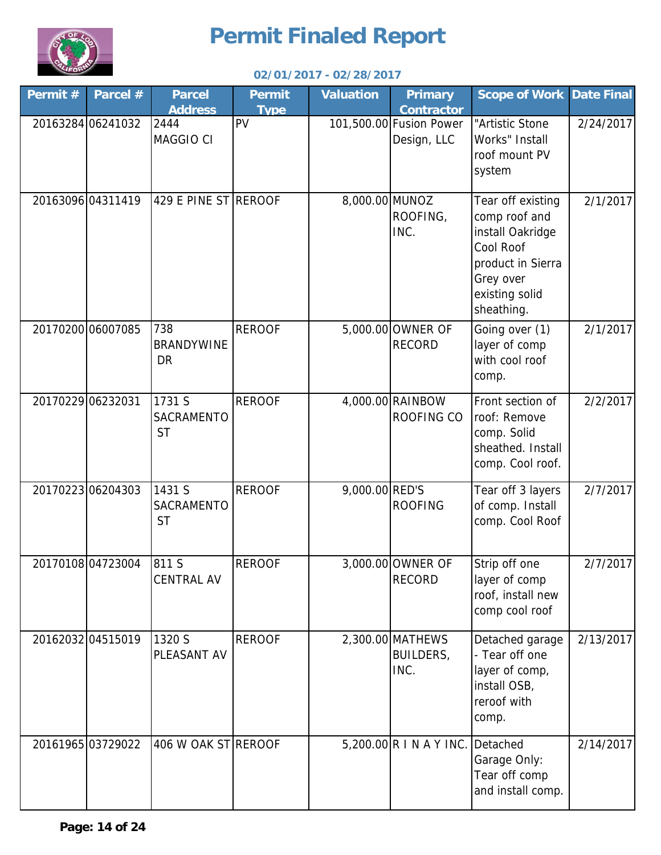

| Permit # | Parcel #          | <b>Parcel</b><br><b>Address</b>       | <b>Permit</b><br><b>Type</b> | <b>Valuation</b> | <b>Primary</b><br><b>Contractor</b>          | <b>Scope of Work</b>                                                                                                                  | Date Final |
|----------|-------------------|---------------------------------------|------------------------------|------------------|----------------------------------------------|---------------------------------------------------------------------------------------------------------------------------------------|------------|
|          | 20163284 06241032 | 2444<br>MAGGIO CI                     | PV                           |                  | 101,500.00 Fusion Power<br>Design, LLC       | "Artistic Stone<br>Works" Install<br>roof mount PV<br>system                                                                          | 2/24/2017  |
|          | 20163096 04311419 | 429 E PINE ST REROOF                  |                              | 8,000.00 MUNOZ   | ROOFING,<br>INC.                             | Tear off existing<br>comp roof and<br>install Oakridge<br>Cool Roof<br>product in Sierra<br>Grey over<br>existing solid<br>sheathing. | 2/1/2017   |
|          | 20170200 06007085 | 738<br><b>BRANDYWINE</b><br><b>DR</b> | <b>REROOF</b>                |                  | 5,000.00 OWNER OF<br><b>RECORD</b>           | Going over (1)<br>layer of comp<br>with cool roof<br>comp.                                                                            | 2/1/2017   |
|          | 20170229 06232031 | 1731 S<br>SACRAMENTO<br><b>ST</b>     | <b>REROOF</b>                |                  | 4,000.00 RAINBOW<br><b>ROOFING CO</b>        | Front section of<br>roof: Remove<br>comp. Solid<br>sheathed. Install<br>comp. Cool roof.                                              | 2/2/2017   |
|          | 20170223 06204303 | 1431 S<br>SACRAMENTO<br><b>ST</b>     | <b>REROOF</b>                | 9,000.00 RED'S   | <b>ROOFING</b>                               | Tear off 3 layers<br>of comp. Install<br>comp. Cool Roof                                                                              | 2/7/2017   |
|          | 2017010804723004  | 811 S<br><b>CENTRAL AV</b>            | <b>REROOF</b>                |                  | 3,000.00 OWNER OF<br><b>RECORD</b>           | Strip off one<br>layer of comp<br>roof, install new<br>comp cool roof                                                                 | 2/7/2017   |
|          | 20162032 04515019 | 1320 S<br>PLEASANT AV                 | <b>REROOF</b>                |                  | 2,300.00 MATHEWS<br><b>BUILDERS,</b><br>INC. | Detached garage<br>- Tear off one<br>layer of comp,<br>install OSB,<br>reroof with<br>comp.                                           | 2/13/2017  |
|          | 20161965 03729022 | 406 W OAK ST REROOF                   |                              |                  | 5,200.00 R I N A Y INC.                      | Detached<br>Garage Only:<br>Tear off comp<br>and install comp.                                                                        | 2/14/2017  |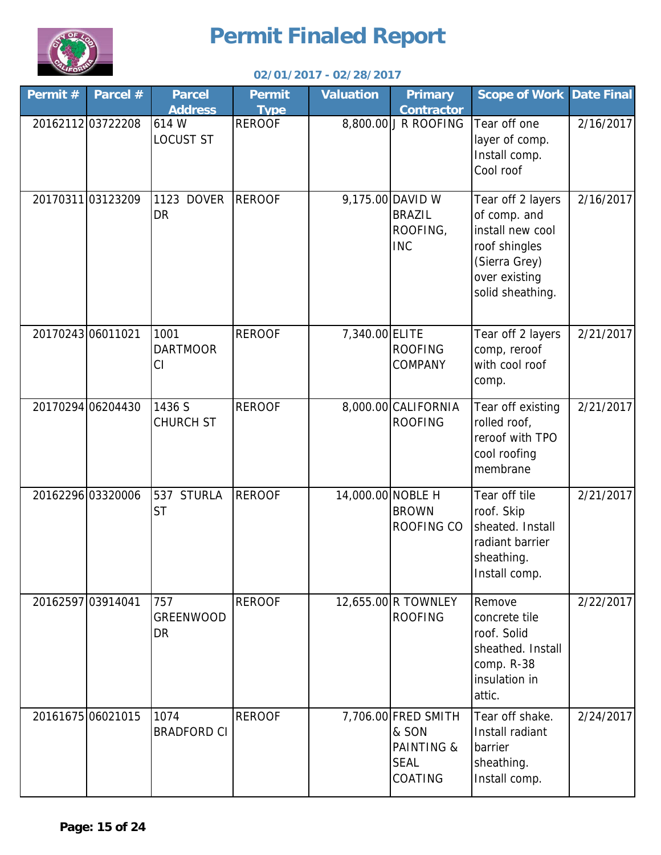

| Permit# | Parcel #          | <b>Parcel</b><br><b>Address</b> | <b>Permit</b><br><b>Type</b> | <b>Valuation</b>  | <b>Primary</b><br><b>Contractor</b>                                             | <b>Scope of Work</b>                                                                                                         | <b>Date Final</b> |
|---------|-------------------|---------------------------------|------------------------------|-------------------|---------------------------------------------------------------------------------|------------------------------------------------------------------------------------------------------------------------------|-------------------|
|         | 2016211203722208  | 614 W<br><b>LOCUST ST</b>       | <b>REROOF</b>                |                   | 8,800.00 J R ROOFING                                                            | Tear off one<br>layer of comp.<br>Install comp.<br>Cool roof                                                                 | 2/16/2017         |
|         | 2017031103123209  | 1123 DOVER<br><b>DR</b>         | <b>REROOF</b>                |                   | 9,175.00 DAVID W<br><b>BRAZIL</b><br>ROOFING,<br><b>INC</b>                     | Tear off 2 layers<br>of comp. and<br>install new cool<br>roof shingles<br>(Sierra Grey)<br>over existing<br>solid sheathing. | 2/16/2017         |
|         | 20170243 06011021 | 1001<br><b>DARTMOOR</b><br>CI   | <b>REROOF</b>                | 7,340.00 ELITE    | <b>ROOFING</b><br>COMPANY                                                       | Tear off 2 layers<br>comp, reroof<br>with cool roof<br>comp.                                                                 | 2/21/2017         |
|         | 20170294 06204430 | 1436 S<br><b>CHURCH ST</b>      | <b>REROOF</b>                |                   | 8,000.00 CALIFORNIA<br><b>ROOFING</b>                                           | Tear off existing<br>rolled roof,<br>reroof with TPO<br>cool roofing<br>membrane                                             | 2/21/2017         |
|         | 20162296 03320006 | 537 STURLA<br><b>ST</b>         | <b>REROOF</b>                | 14,000.00 NOBLE H | <b>BROWN</b><br>ROOFING CO                                                      | Tear off tile<br>roof. Skip<br>sheated. Install<br>radiant barrier<br>sheathing.<br>Install comp.                            | 2/21/2017         |
|         | 20162597 03914041 | 757<br>GREENWOOD<br><b>DR</b>   | <b>REROOF</b>                |                   | 12,655.00 R TOWNLEY<br><b>ROOFING</b>                                           | Remove<br>concrete tile<br>roof. Solid<br>sheathed. Install<br>comp. R-38<br>insulation in<br>attic.                         | 2/22/2017         |
|         | 20161675 06021015 | 1074<br><b>BRADFORD CI</b>      | <b>REROOF</b>                |                   | 7,706.00 FRED SMITH<br>& SON<br><b>PAINTING &amp;</b><br><b>SEAL</b><br>COATING | Tear off shake.<br>Install radiant<br>barrier<br>sheathing.<br>Install comp.                                                 | 2/24/2017         |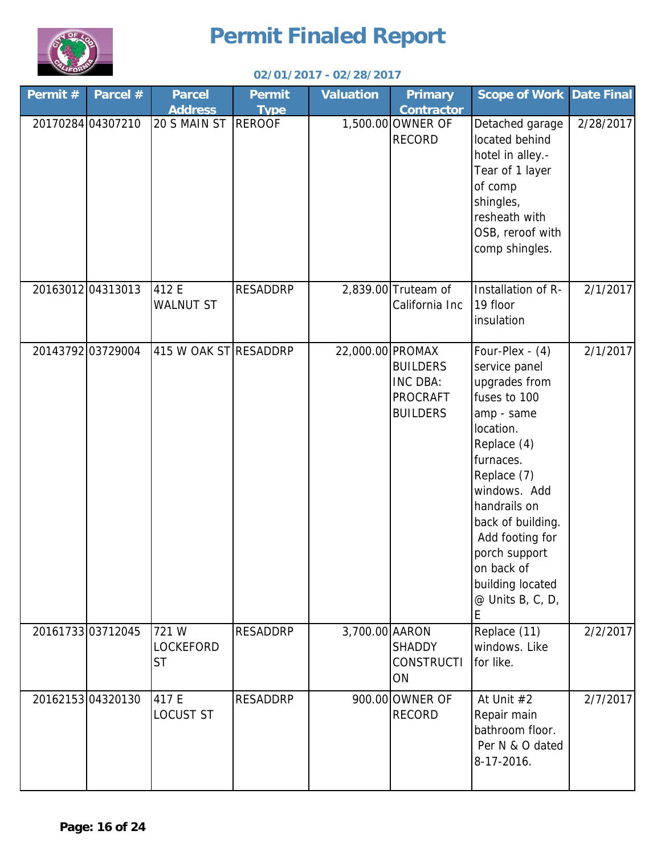

| Permit # | Parcel #          | <b>Parcel</b><br><b>Address</b>        | <b>Permit</b><br><b>Type</b> | <b>Valuation</b> | <b>Primary</b><br><b>Contractor</b>                               | <b>Scope of Work Date Final</b>                                                                                                                                                                                                                                                               |           |
|----------|-------------------|----------------------------------------|------------------------------|------------------|-------------------------------------------------------------------|-----------------------------------------------------------------------------------------------------------------------------------------------------------------------------------------------------------------------------------------------------------------------------------------------|-----------|
|          | 20170284 04307210 | 20 S MAIN ST                           | <b>REROOF</b>                |                  | 1,500.00 OWNER OF<br><b>RECORD</b>                                | Detached garage<br>located behind<br>hotel in alley.-<br>Tear of 1 layer<br>of comp<br>shingles,<br>resheath with<br>OSB, reroof with<br>comp shingles.                                                                                                                                       | 2/28/2017 |
|          | 20163012 04313013 | 412 E<br><b>WALNUT ST</b>              | <b>RESADDRP</b>              |                  | 2,839.00 Truteam of<br>California Inc                             | Installation of R-<br>19 floor<br>insulation                                                                                                                                                                                                                                                  | 2/1/2017  |
|          | 20143792 03729004 | 415 W OAK ST RESADDRP                  |                              | 22,000.00 PROMAX | <b>BUILDERS</b><br>INC DBA:<br><b>PROCRAFT</b><br><b>BUILDERS</b> | Four-Plex - (4)<br>service panel<br>upgrades from<br>fuses to 100<br>amp - same<br>location.<br>Replace (4)<br>furnaces.<br>Replace (7)<br>windows. Add<br>handrails on<br>back of building.<br>Add footing for<br>porch support<br>on back of<br>building located<br>$@$ Units B, C, D,<br>E | 2/1/2017  |
|          | 20161733 03712045 | 721 W<br><b>LOCKEFORD</b><br><b>ST</b> | <b>RESADDRP</b>              | 3,700.00 AARON   | <b>SHADDY</b><br><b>CONSTRUCTI</b><br>ON                          | Replace (11)<br>windows. Like<br>for like.                                                                                                                                                                                                                                                    | 2/2/2017  |
|          | 20162153 04320130 | 417 E<br><b>LOCUST ST</b>              | <b>RESADDRP</b>              |                  | 900.00 OWNER OF<br><b>RECORD</b>                                  | At Unit #2<br>Repair main<br>bathroom floor.<br>Per N & O dated<br>8-17-2016.                                                                                                                                                                                                                 | 2/7/2017  |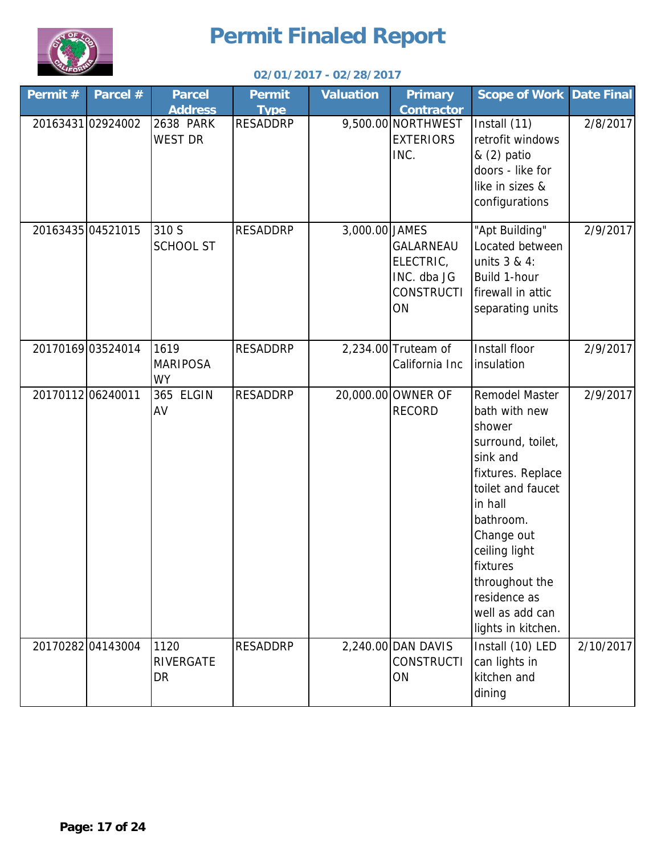

| Permit # | Parcel #          | <b>Parcel</b><br><b>Address</b>      | <b>Permit</b><br><b>Type</b> | <b>Valuation</b> | <b>Primary</b><br><b>Contractor</b>                              | <b>Scope of Work Date Final</b>                                                                                                                                                                                                                                                  |           |
|----------|-------------------|--------------------------------------|------------------------------|------------------|------------------------------------------------------------------|----------------------------------------------------------------------------------------------------------------------------------------------------------------------------------------------------------------------------------------------------------------------------------|-----------|
|          | 20163431 02924002 | 2638 PARK<br><b>WEST DR</b>          | <b>RESADDRP</b>              |                  | 9,500.00 NORTHWEST<br><b>EXTERIORS</b><br>INC.                   | Install (11)<br>retrofit windows<br>& (2) patio<br>doors - like for<br>like in sizes &<br>configurations                                                                                                                                                                         | 2/8/2017  |
|          | 20163435 04521015 | 310 S<br><b>SCHOOL ST</b>            | <b>RESADDRP</b>              | 3,000.00 JAMES   | GALARNEAU<br>ELECTRIC,<br>INC. dba JG<br><b>CONSTRUCTI</b><br>ON | "Apt Building"<br>Located between<br>units 3 & 4:<br>Build 1-hour<br>firewall in attic<br>separating units                                                                                                                                                                       | 2/9/2017  |
|          | 20170169 03524014 | 1619<br><b>MARIPOSA</b><br><b>WY</b> | <b>RESADDRP</b>              |                  | 2,234.00 Truteam of<br>California Inc                            | Install floor<br>insulation                                                                                                                                                                                                                                                      | 2/9/2017  |
|          | 2017011206240011  | 365 ELGIN<br>AV                      | <b>RESADDRP</b>              |                  | 20,000.00 OWNER OF<br><b>RECORD</b>                              | <b>Remodel Master</b><br>bath with new<br>shower<br>surround, toilet,<br>sink and<br>fixtures. Replace<br>toilet and faucet<br>in hall<br>bathroom.<br>Change out<br>ceiling light<br><b>fixtures</b><br>throughout the<br>residence as<br>well as add can<br>lights in kitchen. | 2/9/2017  |
|          | 20170282 04143004 | 1120<br>RIVERGATE<br>DR              | <b>RESADDRP</b>              |                  | 2,240.00 DAN DAVIS<br><b>CONSTRUCTI</b><br>ON                    | Install (10) LED<br>can lights in<br>kitchen and<br>dining                                                                                                                                                                                                                       | 2/10/2017 |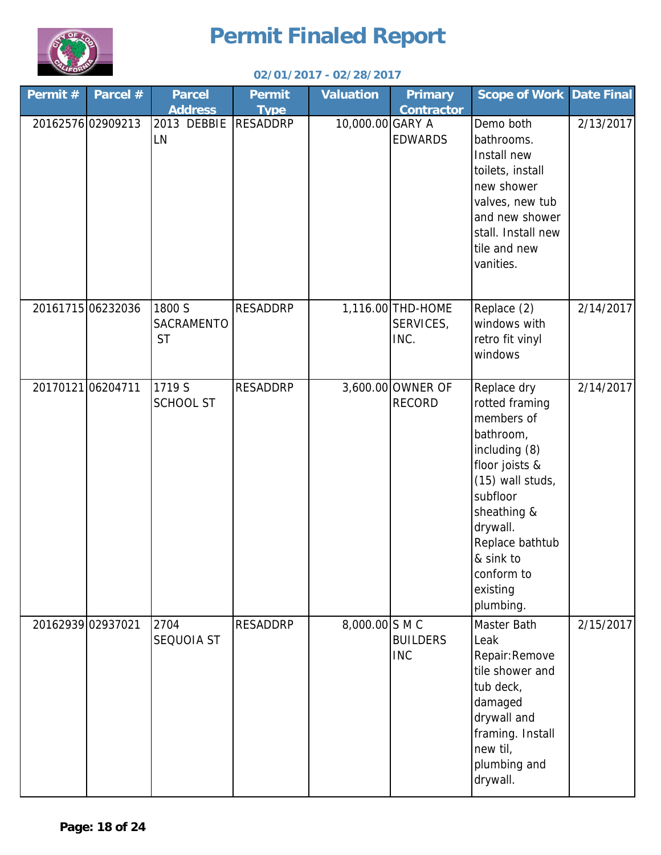

| Permit#          | Parcel #          | <b>Parcel</b><br><b>Address</b>   | <b>Permit</b><br><b>Type</b> | <b>Valuation</b> | <b>Primary</b><br><b>Contractor</b>    | <b>Scope of Work Date Final</b>                                                                                                                                                                                               |           |
|------------------|-------------------|-----------------------------------|------------------------------|------------------|----------------------------------------|-------------------------------------------------------------------------------------------------------------------------------------------------------------------------------------------------------------------------------|-----------|
|                  | 20162576 02909213 | 2013 DEBBIE<br><b>LN</b>          | <b>RESADDRP</b>              | 10,000.00 GARY A | <b>EDWARDS</b>                         | Demo both<br>bathrooms.<br>Install new<br>toilets, install<br>new shower<br>valves, new tub<br>and new shower<br>stall. Install new<br>tile and new<br>vanities.                                                              | 2/13/2017 |
|                  | 20161715 06232036 | 1800 S<br>SACRAMENTO<br><b>ST</b> | <b>RESADDRP</b>              |                  | 1,116.00 THD-HOME<br>SERVICES,<br>INC. | Replace (2)<br>windows with<br>retro fit vinyl<br>windows                                                                                                                                                                     | 2/14/2017 |
| 2017012106204711 |                   | 1719 S<br><b>SCHOOL ST</b>        | <b>RESADDRP</b>              |                  | 3,600.00 OWNER OF<br><b>RECORD</b>     | Replace dry<br>rotted framing<br>members of<br>bathroom,<br>including (8)<br>floor joists &<br>(15) wall studs,<br>subfloor<br>sheathing &<br>drywall.<br>Replace bathtub<br>& sink to<br>conform to<br>existing<br>plumbing. | 2/14/2017 |
|                  | 20162939 02937021 | 2704<br><b>SEQUOIA ST</b>         | <b>RESADDRP</b>              | 8,000.00 S M C   | <b>BUILDERS</b><br><b>INC</b>          | Master Bath<br>Leak<br>Repair: Remove<br>tile shower and<br>tub deck,<br>damaged<br>drywall and<br>framing. Install<br>new til,<br>plumbing and<br>drywall.                                                                   | 2/15/2017 |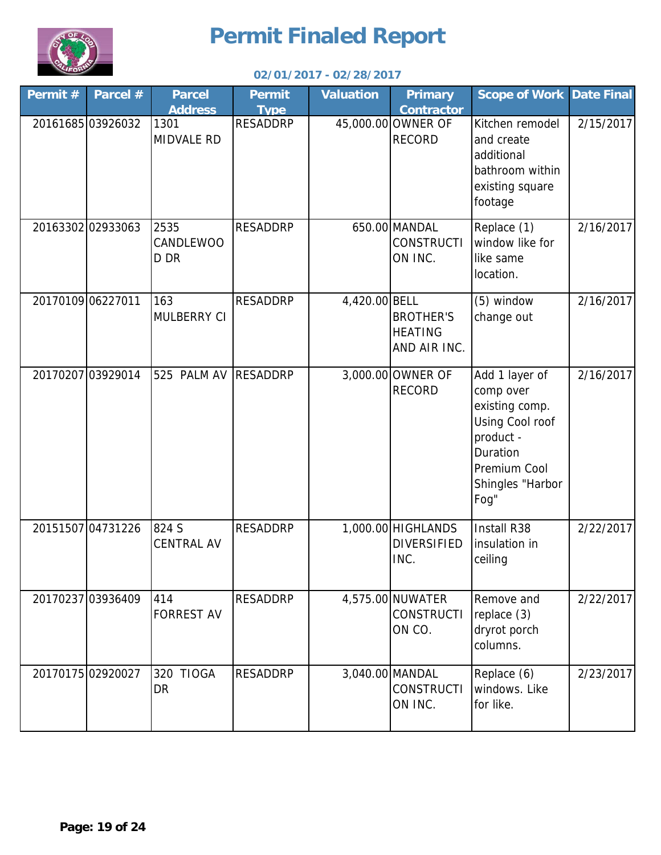

| Permit#           | Parcel #          | <b>Parcel</b><br><b>Address</b>  | <b>Permit</b><br><b>Type</b> | <b>Valuation</b> | <b>Primary</b><br><b>Contractor</b>                | <b>Scope of Work Date Final</b>                                                                                                       |           |
|-------------------|-------------------|----------------------------------|------------------------------|------------------|----------------------------------------------------|---------------------------------------------------------------------------------------------------------------------------------------|-----------|
|                   | 20161685 03926032 | 1301<br><b>MIDVALE RD</b>        | <b>RESADDRP</b>              |                  | 45,000.00 OWNER OF<br><b>RECORD</b>                | Kitchen remodel<br>and create<br>additional<br>bathroom within<br>existing square<br>footage                                          | 2/15/2017 |
|                   | 20163302 02933063 | 2535<br>CANDLEWOO<br>D DR        | <b>RESADDRP</b>              |                  | 650.00 MANDAL<br><b>CONSTRUCTI</b><br>ON INC.      | Replace (1)<br>window like for<br>like same<br>location.                                                                              | 2/16/2017 |
| 20170109 06227011 |                   | 163<br>MULBERRY CI               | <b>RESADDRP</b>              | 4,420.00 BELL    | <b>BROTHER'S</b><br><b>HEATING</b><br>AND AIR INC. | (5) window<br>change out                                                                                                              | 2/16/2017 |
|                   | 20170207 03929014 | 525 PALM AV                      | <b>RESADDRP</b>              |                  | 3,000.00 OWNER OF<br><b>RECORD</b>                 | Add 1 layer of<br>comp over<br>existing comp.<br>Using Cool roof<br>product -<br>Duration<br>Premium Cool<br>Shingles "Harbor<br>Fog" | 2/16/2017 |
|                   | 20151507 04731226 | 824 S<br><b>CENTRAL AV</b>       | <b>RESADDRP</b>              |                  | 1,000.00 HIGHLANDS<br><b>DIVERSIFIED</b><br>INC.   | Install R38<br>insulation in<br>ceiling                                                                                               | 2/22/2017 |
|                   | 20170237 03936409 | 414<br><b>FORREST AV</b>         | <b>RESADDRP</b>              |                  | 4,575.00 NUWATER<br><b>CONSTRUCTI</b><br>ON CO.    | Remove and<br>replace (3)<br>dryrot porch<br>columns.                                                                                 | 2/22/2017 |
|                   | 20170175 02920027 | <b>TIOGA</b><br>320<br><b>DR</b> | <b>RESADDRP</b>              |                  | 3,040.00 MANDAL<br><b>CONSTRUCTI</b><br>ON INC.    | Replace (6)<br>windows. Like<br>for like.                                                                                             | 2/23/2017 |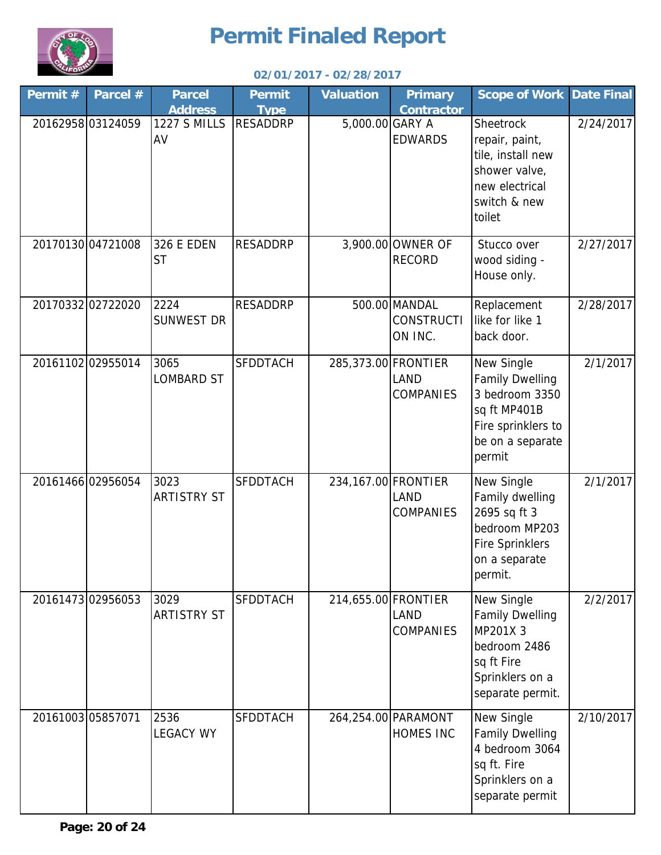

| Permit # | Parcel #          | <b>Parcel</b><br><b>Address</b> | <b>Permit</b><br><b>Type</b> | <b>Valuation</b>    | <b>Primary</b><br><b>Contractor</b>           | <b>Scope of Work</b>                                                                                                       | Date Final |
|----------|-------------------|---------------------------------|------------------------------|---------------------|-----------------------------------------------|----------------------------------------------------------------------------------------------------------------------------|------------|
|          | 2016295803124059  | <b>1227 S MILLS</b><br>AV       | <b>RESADDRP</b>              | 5,000.00 GARY A     | <b>EDWARDS</b>                                | Sheetrock<br>repair, paint,<br>tile, install new<br>shower valve,<br>new electrical<br>switch & new<br>toilet              | 2/24/2017  |
|          | 20170130 04721008 | 326 E EDEN<br><b>ST</b>         | <b>RESADDRP</b>              |                     | 3,900.00 OWNER OF<br><b>RECORD</b>            | Stucco over<br>wood siding -<br>House only.                                                                                | 2/27/2017  |
|          | 20170332 02722020 | 2224<br><b>SUNWEST DR</b>       | <b>RESADDRP</b>              |                     | 500.00 MANDAL<br><b>CONSTRUCTI</b><br>ON INC. | Replacement<br>like for like 1<br>back door.                                                                               | 2/28/2017  |
|          | 20161102 02955014 | 3065<br><b>LOMBARD ST</b>       | <b>SFDDTACH</b>              | 285,373.00 FRONTIER | <b>LAND</b><br><b>COMPANIES</b>               | New Single<br><b>Family Dwelling</b><br>3 bedroom 3350<br>sq ft MP401B<br>Fire sprinklers to<br>be on a separate<br>permit | 2/1/2017   |
|          | 20161466 02956054 | 3023<br><b>ARTISTRY ST</b>      | <b>SFDDTACH</b>              | 234,167.00 FRONTIER | <b>LAND</b><br><b>COMPANIES</b>               | New Single<br>Family dwelling<br>2695 sq ft 3<br>bedroom MP203<br><b>Fire Sprinklers</b><br>on a separate<br>permit.       | 2/1/2017   |
|          | 20161473 02956053 | 3029<br><b>ARTISTRY ST</b>      | <b>SFDDTACH</b>              | 214,655.00 FRONTIER | <b>LAND</b><br><b>COMPANIES</b>               | New Single<br><b>Family Dwelling</b><br>MP201X 3<br>bedroom 2486<br>sq ft Fire<br>Sprinklers on a<br>separate permit.      | 2/2/2017   |
|          | 20161003 05857071 | 2536<br><b>LEGACY WY</b>        | <b>SFDDTACH</b>              |                     | 264,254.00 PARAMONT<br><b>HOMES INC</b>       | New Single<br><b>Family Dwelling</b><br>4 bedroom 3064<br>sq ft. Fire<br>Sprinklers on a<br>separate permit                | 2/10/2017  |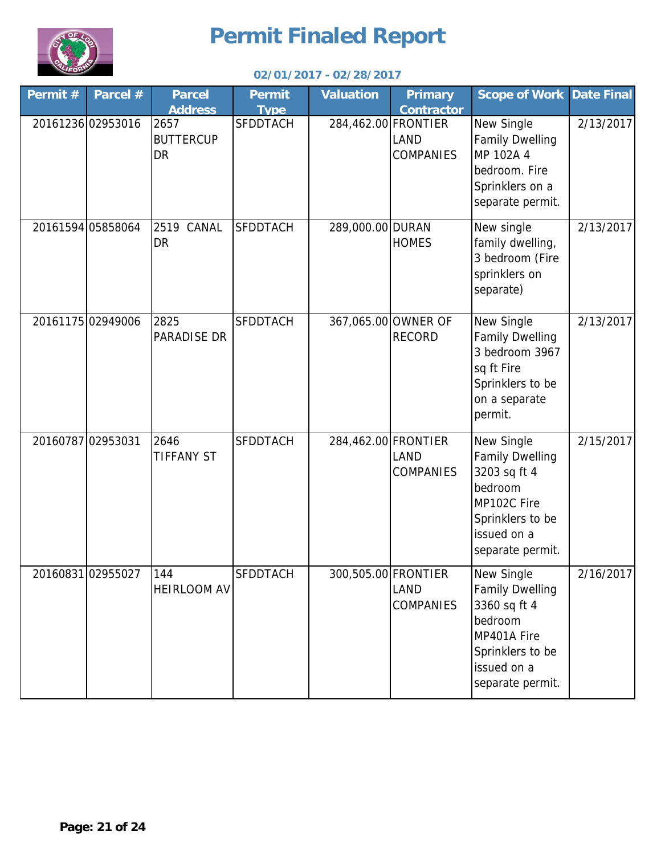

| Permit#           | Parcel #          | <b>Parcel</b><br><b>Address</b>       | <b>Permit</b>                  | <b>Valuation</b>    | <b>Primary</b><br><b>Contractor</b>  | <b>Scope of Work Date Final</b>                                                                                                       |           |
|-------------------|-------------------|---------------------------------------|--------------------------------|---------------------|--------------------------------------|---------------------------------------------------------------------------------------------------------------------------------------|-----------|
|                   | 20161236 02953016 | 2657<br><b>BUTTERCUP</b><br><b>DR</b> | <b>Type</b><br><b>SFDDTACH</b> | 284,462.00 FRONTIER | <b>LAND</b><br><b>COMPANIES</b>      | New Single<br><b>Family Dwelling</b><br>MP 102A 4<br>bedroom. Fire<br>Sprinklers on a<br>separate permit.                             | 2/13/2017 |
|                   | 20161594 05858064 | <b>2519 CANAL</b><br><b>DR</b>        | <b>SFDDTACH</b>                | 289,000.00 DURAN    | <b>HOMES</b>                         | New single<br>family dwelling,<br>3 bedroom (Fire<br>sprinklers on<br>separate)                                                       | 2/13/2017 |
|                   | 2016117502949006  | 2825<br><b>PARADISE DR</b>            | <b>SFDDTACH</b>                |                     | 367,065.00 OWNER OF<br><b>RECORD</b> | New Single<br><b>Family Dwelling</b><br>3 bedroom 3967<br>sq ft Fire<br>Sprinklers to be<br>on a separate<br>permit.                  | 2/13/2017 |
| 20160787 02953031 |                   | 2646<br><b>TIFFANY ST</b>             | <b>SFDDTACH</b>                | 284,462.00 FRONTIER | <b>LAND</b><br><b>COMPANIES</b>      | New Single<br><b>Family Dwelling</b><br>3203 sq ft 4<br>bedroom<br>MP102C Fire<br>Sprinklers to be<br>issued on a<br>separate permit. | 2/15/2017 |
|                   | 20160831 02955027 | 144<br><b>HEIRLOOM AV</b>             | <b>SFDDTACH</b>                | 300,505.00 FRONTIER | <b>LAND</b><br><b>COMPANIES</b>      | New Single<br><b>Family Dwelling</b><br>3360 sq ft 4<br>bedroom<br>MP401A Fire<br>Sprinklers to be<br>issued on a<br>separate permit. | 2/16/2017 |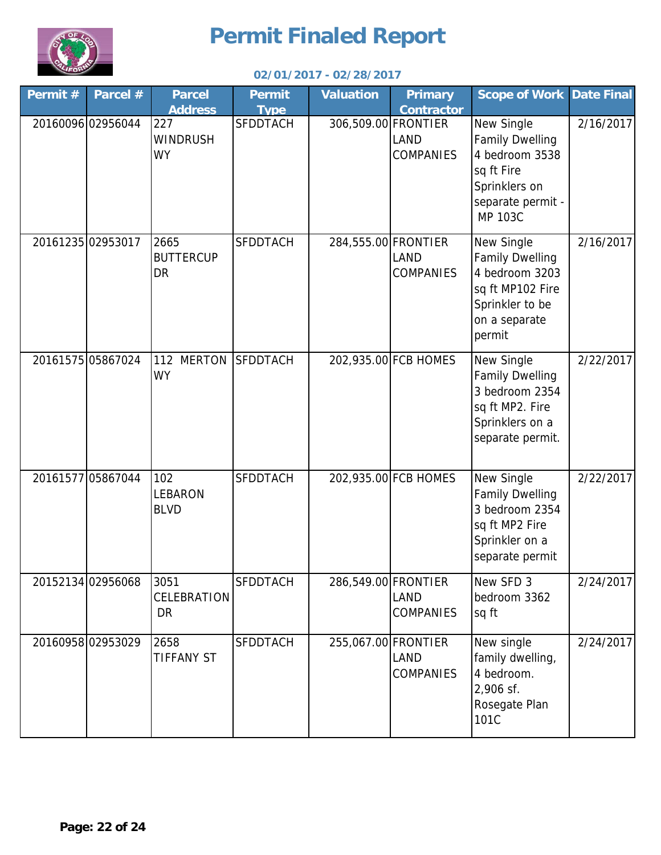

| Permit # | Parcel #          | <b>Parcel</b><br><b>Address</b>     | <b>Permit</b><br><b>Type</b> | <b>Valuation</b>    | <b>Primary</b><br><b>Contractor</b> | <b>Scope of Work Date Final</b>                                                                                              |           |
|----------|-------------------|-------------------------------------|------------------------------|---------------------|-------------------------------------|------------------------------------------------------------------------------------------------------------------------------|-----------|
|          | 20160096 02956044 | 227<br><b>WINDRUSH</b><br><b>WY</b> | <b>SFDDTACH</b>              | 306,509.00 FRONTIER | LAND<br><b>COMPANIES</b>            | <b>New Single</b><br><b>Family Dwelling</b><br>4 bedroom 3538<br>sq ft Fire<br>Sprinklers on<br>separate permit -<br>MP 103C | 2/16/2017 |
|          | 20161235 02953017 | 2665<br><b>BUTTERCUP</b><br>DR      | <b>SFDDTACH</b>              | 284,555.00 FRONTIER | LAND<br><b>COMPANIES</b>            | New Single<br><b>Family Dwelling</b><br>4 bedroom 3203<br>sq ft MP102 Fire<br>Sprinkler to be<br>on a separate<br>permit     | 2/16/2017 |
|          | 20161575 05867024 | 112 MERTON<br><b>WY</b>             | <b>SFDDTACH</b>              |                     | 202,935.00 FCB HOMES                | New Single<br>Family Dwelling<br>3 bedroom 2354<br>sq ft MP2. Fire<br>Sprinklers on a<br>separate permit.                    | 2/22/2017 |
|          | 20161577 05867044 | 102<br>LEBARON<br><b>BLVD</b>       | <b>SFDDTACH</b>              |                     | 202,935.00 FCB HOMES                | New Single<br><b>Family Dwelling</b><br>3 bedroom 2354<br>sq ft MP2 Fire<br>Sprinkler on a<br>separate permit                | 2/22/2017 |
|          | 20152134 02956068 | 3051<br>CELEBRATION<br><b>DR</b>    | <b>SFDDTACH</b>              | 286,549.00 FRONTIER | LAND<br><b>COMPANIES</b>            | New SFD 3<br>bedroom 3362<br>sq ft                                                                                           | 2/24/2017 |
|          | 20160958 02953029 | 2658<br><b>TIFFANY ST</b>           | <b>SFDDTACH</b>              | 255,067.00 FRONTIER | <b>LAND</b><br><b>COMPANIES</b>     | New single<br>family dwelling,<br>4 bedroom.<br>2,906 sf.<br>Rosegate Plan<br>101C                                           | 2/24/2017 |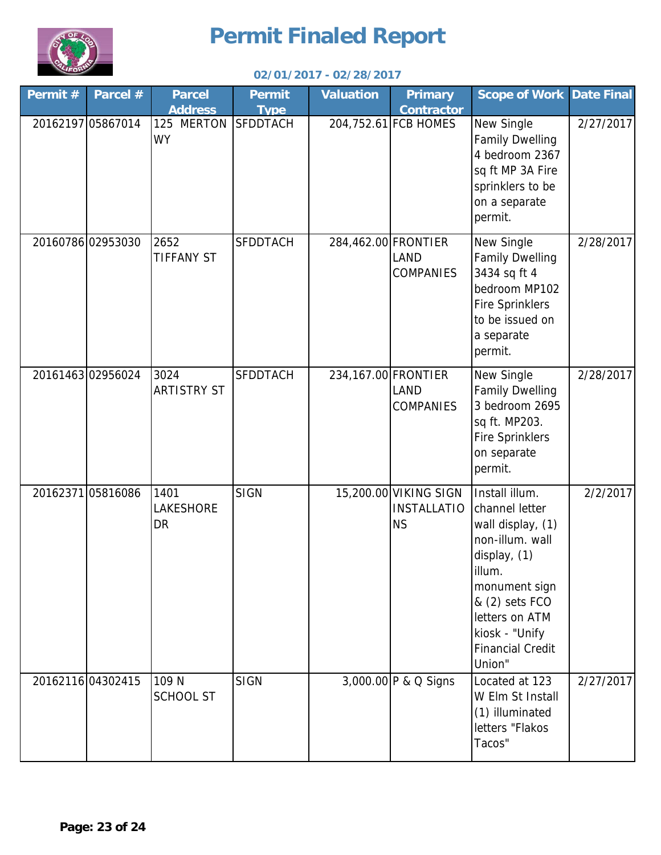

| Permit# | Parcel #          | <b>Parcel</b><br><b>Address</b> | <b>Permit</b><br><b>Type</b> | <b>Valuation</b>    | <b>Primary</b><br><b>Contractor</b>                      | <b>Scope of Work</b>                                                                                                                                                                                           | <b>Date Final</b> |
|---------|-------------------|---------------------------------|------------------------------|---------------------|----------------------------------------------------------|----------------------------------------------------------------------------------------------------------------------------------------------------------------------------------------------------------------|-------------------|
|         | 20162197 05867014 | 125 MERTON<br><b>WY</b>         | <b>SFDDTACH</b>              |                     | 204,752.61 FCB HOMES                                     | New Single<br><b>Family Dwelling</b><br>4 bedroom 2367<br>sq ft MP 3A Fire<br>sprinklers to be<br>on a separate<br>permit.                                                                                     | 2/27/2017         |
|         | 20160786 02953030 | 2652<br><b>TIFFANY ST</b>       | <b>SFDDTACH</b>              | 284,462.00 FRONTIER | LAND<br><b>COMPANIES</b>                                 | New Single<br><b>Family Dwelling</b><br>3434 sq ft 4<br>bedroom MP102<br><b>Fire Sprinklers</b><br>to be issued on<br>a separate<br>permit.                                                                    | 2/28/2017         |
|         | 2016146302956024  | 3024<br><b>ARTISTRY ST</b>      | <b>SFDDTACH</b>              |                     | 234,167.00 FRONTIER<br>LAND<br><b>COMPANIES</b>          | New Single<br><b>Family Dwelling</b><br>3 bedroom 2695<br>sq ft. MP203.<br><b>Fire Sprinklers</b><br>on separate<br>permit.                                                                                    | 2/28/2017         |
|         | 20162371 05816086 | 1401<br>LAKESHORE<br>DR         | <b>SIGN</b>                  |                     | 15,200.00 VIKING SIGN<br><b>INSTALLATIO</b><br><b>NS</b> | Install illum.<br>channel letter<br>wall display, (1)<br>non-illum. wall<br>display, (1)<br>illum.<br>monument sign<br>& (2) sets FCO<br>letters on ATM<br>kiosk - "Unify<br><b>Financial Credit</b><br>Union" | 2/2/2017          |
|         | 20162116 04302415 | 109 N<br>SCHOOL ST              | <b>SIGN</b>                  |                     | 3,000.00 P & Q Signs                                     | Located at 123<br>W Elm St Install<br>(1) illuminated<br>letters "Flakos<br>Tacos"                                                                                                                             | 2/27/2017         |